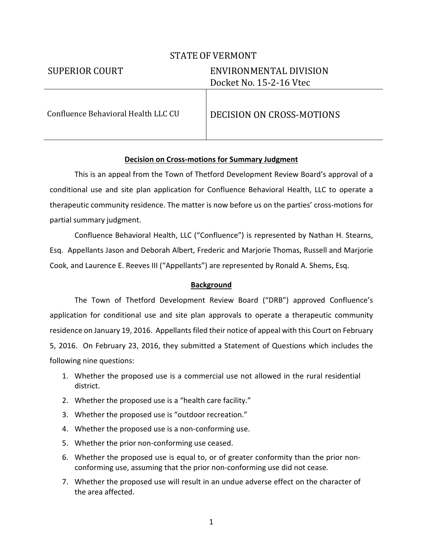# STATE OF VERMONT

# SUPERIOR COURT ENVIRONMENTAL DIVISION Docket No. 15-2-16 Vtec

Confluence Behavioral Health LLC CU DECISION ON CROSS-MOTIONS

# **Decision on Cross-motions for Summary Judgment**

This is an appeal from the Town of Thetford Development Review Board's approval of a conditional use and site plan application for Confluence Behavioral Health, LLC to operate a therapeutic community residence. The matter is now before us on the parties' cross-motions for partial summary judgment.

Confluence Behavioral Health, LLC ("Confluence") is represented by Nathan H. Stearns, Esq. Appellants Jason and Deborah Albert, Frederic and Marjorie Thomas, Russell and Marjorie Cook, and Laurence E. Reeves III ("Appellants") are represented by Ronald A. Shems, Esq.

# **Background**

 The Town of Thetford Development Review Board ("DRB") approved Confluence's application for conditional use and site plan approvals to operate a therapeutic community residence on January 19, 2016. Appellants filed their notice of appeal with this Court on February 5, 2016. On February 23, 2016, they submitted a Statement of Questions which includes the following nine questions:

- 1. Whether the proposed use is a commercial use not allowed in the rural residential district.
- 2. Whether the proposed use is a "health care facility."
- 3. Whether the proposed use is "outdoor recreation."
- 4. Whether the proposed use is a non-conforming use.
- 5. Whether the prior non-conforming use ceased.
- 6. Whether the proposed use is equal to, or of greater conformity than the prior nonconforming use, assuming that the prior non-conforming use did not cease.
- 7. Whether the proposed use will result in an undue adverse effect on the character of the area affected.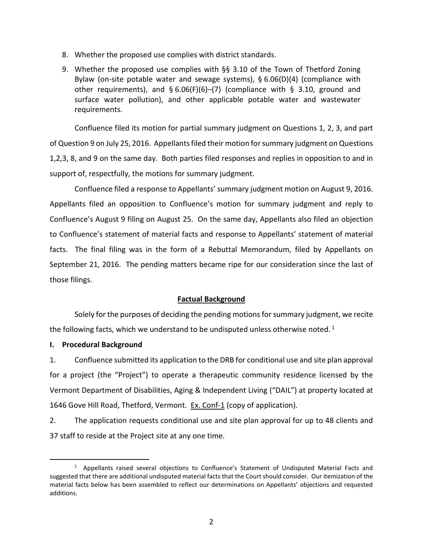- 8. Whether the proposed use complies with district standards.
- 9. Whether the proposed use complies with §§ 3.10 of the Town of Thetford Zoning Bylaw (on-site potable water and sewage systems), § 6.06(D)(4) (compliance with other requirements), and § 6.06(F)(6)–(7) (compliance with § 3.10, ground and surface water pollution), and other applicable potable water and wastewater requirements.

Confluence filed its motion for partial summary judgment on Questions 1, 2, 3, and part of Question 9 on July 25, 2016. Appellants filed their motion for summary judgment on Questions 1,2,3, 8, and 9 on the same day. Both parties filed responses and replies in opposition to and in support of, respectfully, the motions for summary judgment.

Confluence filed a response to Appellants' summary judgment motion on August 9, 2016. Appellants filed an opposition to Confluence's motion for summary judgment and reply to Confluence's August 9 filing on August 25. On the same day, Appellants also filed an objection to Confluence's statement of material facts and response to Appellants' statement of material facts. The final filing was in the form of a Rebuttal Memorandum, filed by Appellants on September 21, 2016. The pending matters became ripe for our consideration since the last of those filings.

### **Factual Background**

Solely for the purposes of deciding the pending motions for summary judgment, we recite the following facts, which we understand to be undisputed unless otherwise noted.<sup>1</sup>

### **I. Procedural Background**

j

1. Confluence submitted its application to the DRB for conditional use and site plan approval for a project (the "Project") to operate a therapeutic community residence licensed by the Vermont Department of Disabilities, Aging & Independent Living ("DAIL") at property located at 1646 Gove Hill Road, Thetford, Vermont. Ex. Conf-1 (copy of application).

2. The application requests conditional use and site plan approval for up to 48 clients and 37 staff to reside at the Project site at any one time.

<sup>&</sup>lt;sup>1</sup> Appellants raised several objections to Confluence's Statement of Undisputed Material Facts and suggested that there are additional undisputed material facts that the Court should consider. Our itemization of the material facts below has been assembled to reflect our determinations on Appellants' objections and requested additions.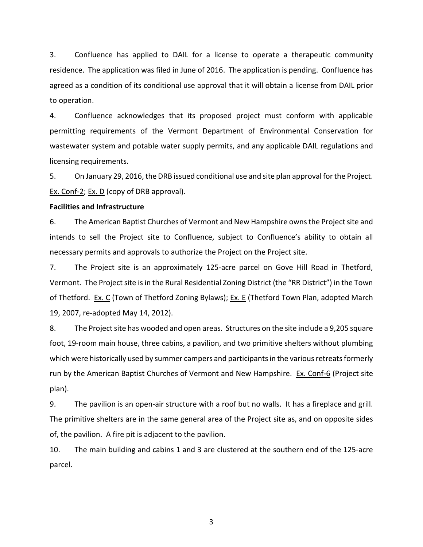3. Confluence has applied to DAIL for a license to operate a therapeutic community residence. The application was filed in June of 2016. The application is pending. Confluence has agreed as a condition of its conditional use approval that it will obtain a license from DAIL prior to operation.

4. Confluence acknowledges that its proposed project must conform with applicable permitting requirements of the Vermont Department of Environmental Conservation for wastewater system and potable water supply permits, and any applicable DAIL regulations and licensing requirements.

5. On January 29, 2016, the DRB issued conditional use and site plan approval for the Project. Ex. Conf-2; Ex. D (copy of DRB approval).

### **Facilities and Infrastructure**

6. The American Baptist Churches of Vermont and New Hampshire owns the Project site and intends to sell the Project site to Confluence, subject to Confluence's ability to obtain all necessary permits and approvals to authorize the Project on the Project site.

7. The Project site is an approximately 125-acre parcel on Gove Hill Road in Thetford, Vermont. The Project site is in the Rural Residential Zoning District (the "RR District") in the Town of Thetford. Ex. C (Town of Thetford Zoning Bylaws); Ex. E (Thetford Town Plan, adopted March 19, 2007, re-adopted May 14, 2012).

8. The Project site has wooded and open areas. Structures on the site include a 9,205 square foot, 19-room main house, three cabins, a pavilion, and two primitive shelters without plumbing which were historically used by summer campers and participants in the various retreats formerly run by the American Baptist Churches of Vermont and New Hampshire. Ex. Conf-6 (Project site plan).

9. The pavilion is an open-air structure with a roof but no walls. It has a fireplace and grill. The primitive shelters are in the same general area of the Project site as, and on opposite sides of, the pavilion. A fire pit is adjacent to the pavilion.

10. The main building and cabins 1 and 3 are clustered at the southern end of the 125-acre parcel.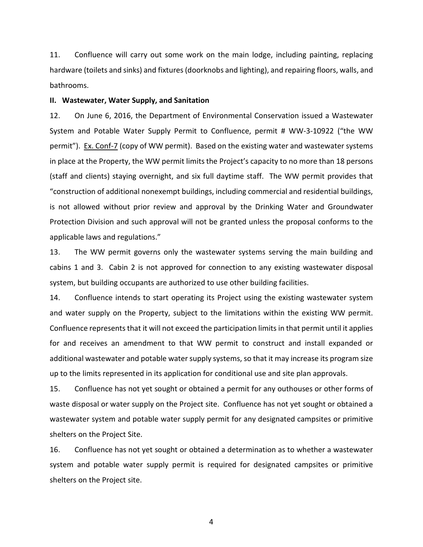11. Confluence will carry out some work on the main lodge, including painting, replacing hardware (toilets and sinks) and fixtures (doorknobs and lighting), and repairing floors, walls, and bathrooms.

#### **II. Wastewater, Water Supply, and Sanitation**

12. On June 6, 2016, the Department of Environmental Conservation issued a Wastewater System and Potable Water Supply Permit to Confluence, permit # WW-3-10922 ("the WW permit"). Ex. Conf-7 (copy of WW permit). Based on the existing water and wastewater systems in place at the Property, the WW permit limits the Project's capacity to no more than 18 persons (staff and clients) staying overnight, and six full daytime staff. The WW permit provides that "construction of additional nonexempt buildings, including commercial and residential buildings, is not allowed without prior review and approval by the Drinking Water and Groundwater Protection Division and such approval will not be granted unless the proposal conforms to the applicable laws and regulations."

13. The WW permit governs only the wastewater systems serving the main building and cabins 1 and 3. Cabin 2 is not approved for connection to any existing wastewater disposal system, but building occupants are authorized to use other building facilities.

14. Confluence intends to start operating its Project using the existing wastewater system and water supply on the Property, subject to the limitations within the existing WW permit. Confluence represents that it will not exceed the participation limits in that permit until it applies for and receives an amendment to that WW permit to construct and install expanded or additional wastewater and potable water supply systems, so that it may increase its program size up to the limits represented in its application for conditional use and site plan approvals.

15. Confluence has not yet sought or obtained a permit for any outhouses or other forms of waste disposal or water supply on the Project site. Confluence has not yet sought or obtained a wastewater system and potable water supply permit for any designated campsites or primitive shelters on the Project Site.

16. Confluence has not yet sought or obtained a determination as to whether a wastewater system and potable water supply permit is required for designated campsites or primitive shelters on the Project site.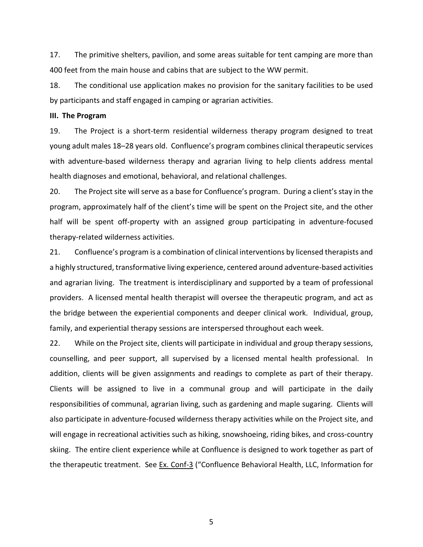17. The primitive shelters, pavilion, and some areas suitable for tent camping are more than 400 feet from the main house and cabins that are subject to the WW permit.

18. The conditional use application makes no provision for the sanitary facilities to be used by participants and staff engaged in camping or agrarian activities.

### **III. The Program**

19. The Project is a short-term residential wilderness therapy program designed to treat young adult males 18–28 years old. Confluence's program combines clinical therapeutic services with adventure-based wilderness therapy and agrarian living to help clients address mental health diagnoses and emotional, behavioral, and relational challenges.

20. The Project site will serve as a base for Confluence's program. During a client's stay in the program, approximately half of the client's time will be spent on the Project site, and the other half will be spent off-property with an assigned group participating in adventure-focused therapy-related wilderness activities.

21. Confluence's program is a combination of clinical interventions by licensed therapists and a highly structured, transformative living experience, centered around adventure-based activities and agrarian living. The treatment is interdisciplinary and supported by a team of professional providers. A licensed mental health therapist will oversee the therapeutic program, and act as the bridge between the experiential components and deeper clinical work. Individual, group, family, and experiential therapy sessions are interspersed throughout each week.

22. While on the Project site, clients will participate in individual and group therapy sessions, counselling, and peer support, all supervised by a licensed mental health professional. In addition, clients will be given assignments and readings to complete as part of their therapy. Clients will be assigned to live in a communal group and will participate in the daily responsibilities of communal, agrarian living, such as gardening and maple sugaring. Clients will also participate in adventure-focused wilderness therapy activities while on the Project site, and will engage in recreational activities such as hiking, snowshoeing, riding bikes, and cross-country skiing. The entire client experience while at Confluence is designed to work together as part of the therapeutic treatment. See Ex. Conf-3 ("Confluence Behavioral Health, LLC, Information for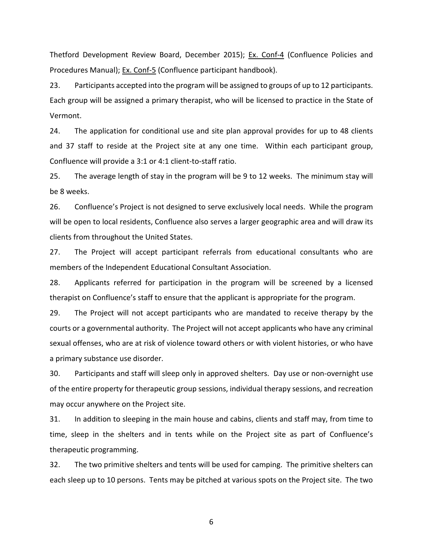Thetford Development Review Board, December 2015); Ex. Conf-4 (Confluence Policies and Procedures Manual); Ex. Conf-5 (Confluence participant handbook).

23. Participants accepted into the program will be assigned to groups of up to 12 participants. Each group will be assigned a primary therapist, who will be licensed to practice in the State of Vermont.

24. The application for conditional use and site plan approval provides for up to 48 clients and 37 staff to reside at the Project site at any one time. Within each participant group, Confluence will provide a 3:1 or 4:1 client-to-staff ratio.

25. The average length of stay in the program will be 9 to 12 weeks. The minimum stay will be 8 weeks.

26. Confluence's Project is not designed to serve exclusively local needs. While the program will be open to local residents, Confluence also serves a larger geographic area and will draw its clients from throughout the United States.

27. The Project will accept participant referrals from educational consultants who are members of the Independent Educational Consultant Association.

28. Applicants referred for participation in the program will be screened by a licensed therapist on Confluence's staff to ensure that the applicant is appropriate for the program.

29. The Project will not accept participants who are mandated to receive therapy by the courts or a governmental authority. The Project will not accept applicants who have any criminal sexual offenses, who are at risk of violence toward others or with violent histories, or who have a primary substance use disorder.

30. Participants and staff will sleep only in approved shelters. Day use or non-overnight use of the entire property for therapeutic group sessions, individual therapy sessions, and recreation may occur anywhere on the Project site.

31. In addition to sleeping in the main house and cabins, clients and staff may, from time to time, sleep in the shelters and in tents while on the Project site as part of Confluence's therapeutic programming.

32. The two primitive shelters and tents will be used for camping. The primitive shelters can each sleep up to 10 persons. Tents may be pitched at various spots on the Project site. The two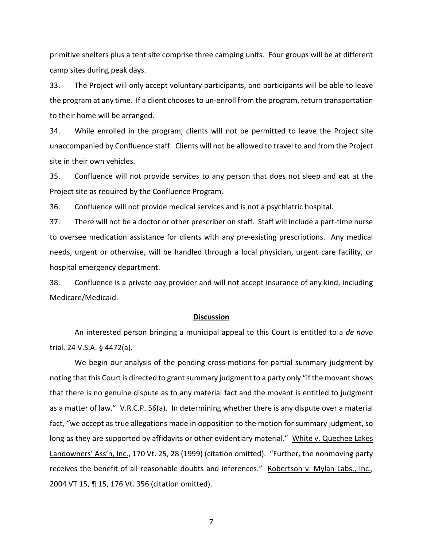primitive shelters plus a tent site comprise three camping units. Four groups will be at different camp sites during peak days.

33. The Project will only accept voluntary participants, and participants will be able to leave the program at any time. If a client chooses to un-enroll from the program, return transportation to their home will be arranged.

34. While enrolled in the program, clients will not be permitted to leave the Project site unaccompanied by Confluence staff. Clients will not be allowed to travel to and from the Project site in their own vehicles.

35. Confluence will not provide services to any person that does not sleep and eat at the Project site as required by the Confluence Program.

36. Confluence will not provide medical services and is not a psychiatric hospital.

37. There will not be a doctor or other prescriber on staff. Staff will include a part-time nurse to oversee medication assistance for clients with any pre-existing prescriptions. Any medical needs, urgent or otherwise, will be handled through a local physician, urgent care facility, or hospital emergency department.

38. Confluence is a private pay provider and will not accept insurance of any kind, including Medicare/Medicaid.

#### **Discussion**

An interested person bringing a municipal appeal to this Court is entitled to a *de novo* trial. 24 V.S.A. § 4472(a).

We begin our analysis of the pending cross-motions for partial summary judgment by noting that this Court is directed to grant summary judgment to a party only "if the movant shows that there is no genuine dispute as to any material fact and the movant is entitled to judgment as a matter of law." V.R.C.P. 56(a). In determining whether there is any dispute over a material fact, "we accept as true allegations made in opposition to the motion for summary judgment, so long as they are supported by affidavits or other evidentiary material." White v. Quechee Lakes Landowners' Ass'n, Inc., 170 Vt. 25, 28 (1999) (citation omitted). "Further, the nonmoving party receives the benefit of all reasonable doubts and inferences." Robertson v. Mylan Labs., Inc., 2004 VT 15, ¶ 15, 176 Vt. 356 (citation omitted).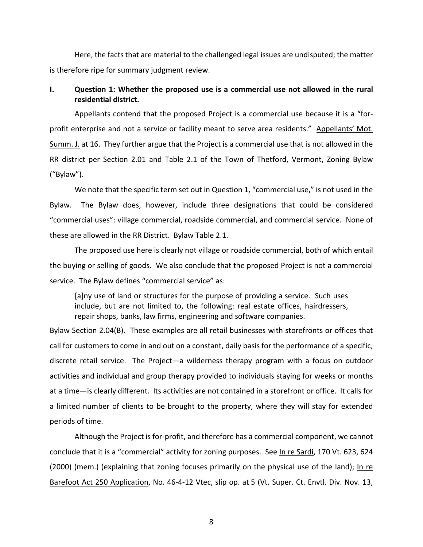Here, the facts that are material to the challenged legal issues are undisputed; the matter is therefore ripe for summary judgment review.

# **I. Question 1: Whether the proposed use is a commercial use not allowed in the rural residential district.**

Appellants contend that the proposed Project is a commercial use because it is a "forprofit enterprise and not a service or facility meant to serve area residents." Appellants' Mot. Summ. J. at 16. They further argue that the Project is a commercial use that is not allowed in the RR district per Section 2.01 and Table 2.1 of the Town of Thetford, Vermont, Zoning Bylaw ("Bylaw").

We note that the specific term set out in Question 1, "commercial use," is not used in the Bylaw. The Bylaw does, however, include three designations that could be considered "commercial uses": village commercial, roadside commercial, and commercial service. None of these are allowed in the RR District. Bylaw Table 2.1.

The proposed use here is clearly not village or roadside commercial, both of which entail the buying or selling of goods. We also conclude that the proposed Project is not a commercial service. The Bylaw defines "commercial service" as:

[a]ny use of land or structures for the purpose of providing a service. Such uses include, but are not limited to, the following: real estate offices, hairdressers, repair shops, banks, law firms, engineering and software companies.

Bylaw Section 2.04(B). These examples are all retail businesses with storefronts or offices that call for customers to come in and out on a constant, daily basis for the performance of a specific, discrete retail service. The Project—a wilderness therapy program with a focus on outdoor activities and individual and group therapy provided to individuals staying for weeks or months at a time—is clearly different. Its activities are not contained in a storefront or office. It calls for a limited number of clients to be brought to the property, where they will stay for extended periods of time.

Although the Project is for-profit, and therefore has a commercial component, we cannot conclude that it is a "commercial" activity for zoning purposes. See In re Sardi, 170 Vt. 623, 624 (2000) (mem.) (explaining that zoning focuses primarily on the physical use of the land); In re Barefoot Act 250 Application, No. 46-4-12 Vtec, slip op. at 5 (Vt. Super. Ct. Envtl. Div. Nov. 13,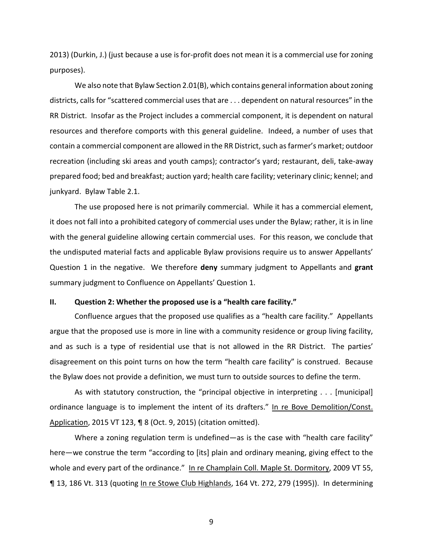2013) (Durkin, J.) (just because a use is for-profit does not mean it is a commercial use for zoning purposes).

We also note that Bylaw Section 2.01(B), which contains general information about zoning districts, calls for "scattered commercial uses that are . . . dependent on natural resources" in the RR District. Insofar as the Project includes a commercial component, it is dependent on natural resources and therefore comports with this general guideline. Indeed, a number of uses that contain a commercial component are allowed in the RR District, such as farmer's market; outdoor recreation (including ski areas and youth camps); contractor's yard; restaurant, deli, take-away prepared food; bed and breakfast; auction yard; health care facility; veterinary clinic; kennel; and junkyard. Bylaw Table 2.1.

The use proposed here is not primarily commercial. While it has a commercial element, it does not fall into a prohibited category of commercial uses under the Bylaw; rather, it is in line with the general guideline allowing certain commercial uses. For this reason, we conclude that the undisputed material facts and applicable Bylaw provisions require us to answer Appellants' Question 1 in the negative. We therefore **deny** summary judgment to Appellants and **grant**  summary judgment to Confluence on Appellants' Question 1.

### **II. Question 2: Whether the proposed use is a "health care facility."**

Confluence argues that the proposed use qualifies as a "health care facility." Appellants argue that the proposed use is more in line with a community residence or group living facility, and as such is a type of residential use that is not allowed in the RR District. The parties' disagreement on this point turns on how the term "health care facility" is construed. Because the Bylaw does not provide a definition, we must turn to outside sources to define the term.

As with statutory construction, the "principal objective in interpreting . . . [municipal] ordinance language is to implement the intent of its drafters." In re Bove Demolition/Const. Application, 2015 VT 123, ¶ 8 (Oct. 9, 2015) (citation omitted).

Where a zoning regulation term is undefined—as is the case with "health care facility" here—we construe the term "according to [its] plain and ordinary meaning, giving effect to the whole and every part of the ordinance." In re Champlain Coll. Maple St. Dormitory, 2009 VT 55, ¶ 13, 186 Vt. 313 (quoting In re Stowe Club Highlands, 164 Vt. 272, 279 (1995)). In determining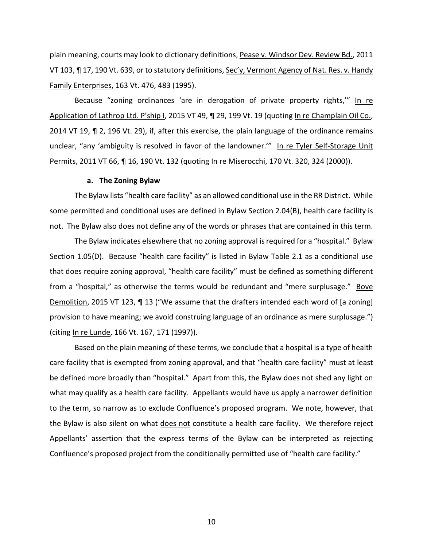plain meaning, courts may look to dictionary definitions, Pease v. Windsor Dev. Review Bd., 2011 VT 103, ¶ 17, 190 Vt. 639, or to statutory definitions, Sec'y, Vermont Agency of Nat. Res. v. Handy Family Enterprises, 163 Vt. 476, 483 (1995).

Because "zoning ordinances 'are in derogation of private property rights," In re Application of Lathrop Ltd. P'ship I, 2015 VT 49, ¶ 29, 199 Vt. 19 (quoting In re Champlain Oil Co., 2014 VT 19, ¶ 2, 196 Vt. 29), if, after this exercise, the plain language of the ordinance remains unclear, "any 'ambiguity is resolved in favor of the landowner."" In re Tyler Self-Storage Unit Permits, 2011 VT 66, ¶ 16, 190 Vt. 132 (quoting In re Miserocchi, 170 Vt. 320, 324 (2000)).

### **a. The Zoning Bylaw**

The Bylaw lists "health care facility" as an allowed conditional use in the RR District. While some permitted and conditional uses are defined in Bylaw Section 2.04(B), health care facility is not. The Bylaw also does not define any of the words or phrases that are contained in this term.

The Bylaw indicates elsewhere that no zoning approval is required for a "hospital." Bylaw Section 1.05(D). Because "health care facility" is listed in Bylaw Table 2.1 as a conditional use that does require zoning approval, "health care facility" must be defined as something different from a "hospital," as otherwise the terms would be redundant and "mere surplusage." Bove Demolition, 2015 VT 123, ¶ 13 ("We assume that the drafters intended each word of [a zoning] provision to have meaning; we avoid construing language of an ordinance as mere surplusage.") (citing In re Lunde, 166 Vt. 167, 171 (1997)).

Based on the plain meaning of these terms, we conclude that a hospital is a type of health care facility that is exempted from zoning approval, and that "health care facility" must at least be defined more broadly than "hospital." Apart from this, the Bylaw does not shed any light on what may qualify as a health care facility. Appellants would have us apply a narrower definition to the term, so narrow as to exclude Confluence's proposed program. We note, however, that the Bylaw is also silent on what does not constitute a health care facility. We therefore reject Appellants' assertion that the express terms of the Bylaw can be interpreted as rejecting Confluence's proposed project from the conditionally permitted use of "health care facility."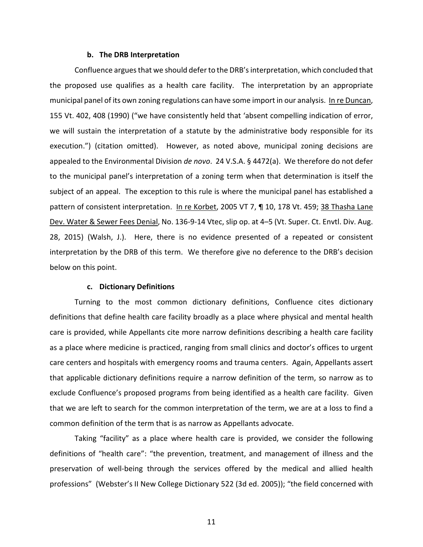#### **b. The DRB Interpretation**

Confluence argues that we should defer to the DRB's interpretation, which concluded that the proposed use qualifies as a health care facility. The interpretation by an appropriate municipal panel of its own zoning regulations can have some import in our analysis. In re Duncan, 155 Vt. 402, 408 (1990) ("we have consistently held that 'absent compelling indication of error, we will sustain the interpretation of a statute by the administrative body responsible for its execution.") (citation omitted). However, as noted above, municipal zoning decisions are appealed to the Environmental Division *de novo*. 24 V.S.A. § 4472(a). We therefore do not defer to the municipal panel's interpretation of a zoning term when that determination is itself the subject of an appeal. The exception to this rule is where the municipal panel has established a pattern of consistent interpretation. In re Korbet, 2005 VT 7, ¶ 10, 178 Vt. 459; 38 Thasha Lane Dev. Water & Sewer Fees Denial, No. 136-9-14 Vtec, slip op. at 4–5 (Vt. Super. Ct. Envtl. Div. Aug. 28, 2015) (Walsh, J.). Here, there is no evidence presented of a repeated or consistent interpretation by the DRB of this term. We therefore give no deference to the DRB's decision below on this point.

#### **c. Dictionary Definitions**

Turning to the most common dictionary definitions, Confluence cites dictionary definitions that define health care facility broadly as a place where physical and mental health care is provided, while Appellants cite more narrow definitions describing a health care facility as a place where medicine is practiced, ranging from small clinics and doctor's offices to urgent care centers and hospitals with emergency rooms and trauma centers. Again, Appellants assert that applicable dictionary definitions require a narrow definition of the term, so narrow as to exclude Confluence's proposed programs from being identified as a health care facility. Given that we are left to search for the common interpretation of the term, we are at a loss to find a common definition of the term that is as narrow as Appellants advocate.

Taking "facility" as a place where health care is provided, we consider the following definitions of "health care": "the prevention, treatment, and management of illness and the preservation of well-being through the services offered by the medical and allied health professions" (Webster's II New College Dictionary 522 (3d ed. 2005)); "the field concerned with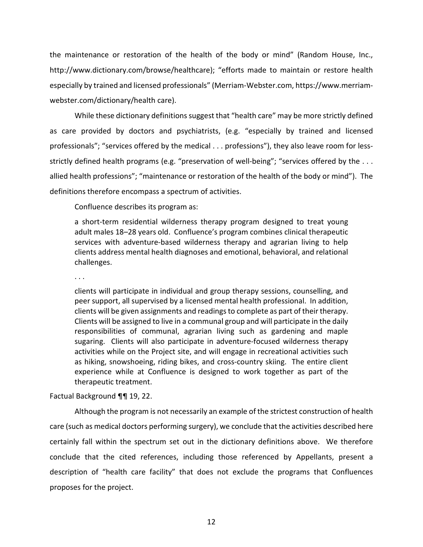the maintenance or restoration of the health of the body or mind" (Random House, Inc., http://www.dictionary.com/browse/healthcare); "efforts made to maintain or restore health especially by trained and licensed professionals" (Merriam-Webster.com, https://www.merriamwebster.com/dictionary/health care).

While these dictionary definitions suggest that "health care" may be more strictly defined as care provided by doctors and psychiatrists, (e.g. "especially by trained and licensed professionals"; "services offered by the medical . . . professions"), they also leave room for lessstrictly defined health programs (e.g. "preservation of well-being"; "services offered by the ... allied health professions"; "maintenance or restoration of the health of the body or mind"). The definitions therefore encompass a spectrum of activities.

Confluence describes its program as:

a short-term residential wilderness therapy program designed to treat young adult males 18–28 years old. Confluence's program combines clinical therapeutic services with adventure-based wilderness therapy and agrarian living to help clients address mental health diagnoses and emotional, behavioral, and relational challenges.

. . .

clients will participate in individual and group therapy sessions, counselling, and peer support, all supervised by a licensed mental health professional. In addition, clients will be given assignments and readings to complete as part of their therapy. Clients will be assigned to live in a communal group and will participate in the daily responsibilities of communal, agrarian living such as gardening and maple sugaring. Clients will also participate in adventure-focused wilderness therapy activities while on the Project site, and will engage in recreational activities such as hiking, snowshoeing, riding bikes, and cross-country skiing. The entire client experience while at Confluence is designed to work together as part of the therapeutic treatment.

Factual Background ¶¶ 19, 22.

Although the program is not necessarily an example of the strictest construction of health care (such as medical doctors performing surgery), we conclude that the activities described here certainly fall within the spectrum set out in the dictionary definitions above. We therefore conclude that the cited references, including those referenced by Appellants, present a description of "health care facility" that does not exclude the programs that Confluences proposes for the project.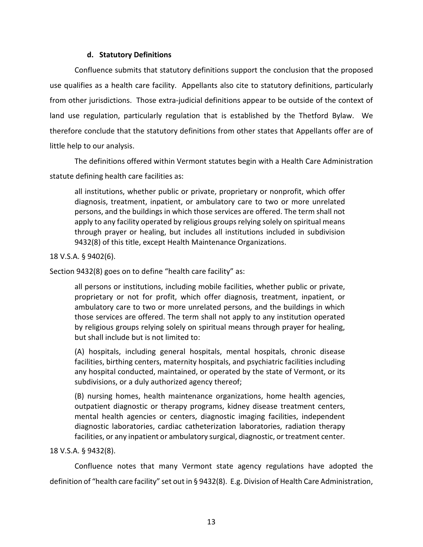# **d. Statutory Definitions**

Confluence submits that statutory definitions support the conclusion that the proposed use qualifies as a health care facility. Appellants also cite to statutory definitions, particularly from other jurisdictions. Those extra-judicial definitions appear to be outside of the context of land use regulation, particularly regulation that is established by the Thetford Bylaw. We therefore conclude that the statutory definitions from other states that Appellants offer are of little help to our analysis.

The definitions offered within Vermont statutes begin with a Health Care Administration statute defining health care facilities as:

all institutions, whether public or private, proprietary or nonprofit, which offer diagnosis, treatment, inpatient, or ambulatory care to two or more unrelated persons, and the buildings in which those services are offered. The term shall not apply to any facility operated by religious groups relying solely on spiritual means through prayer or healing, but includes all institutions included in subdivision 9432(8) of this title, except Health Maintenance Organizations.

# 18 V.S.A. § 9402(6).

Section 9432(8) goes on to define "health care facility" as:

all persons or institutions, including mobile facilities, whether public or private, proprietary or not for profit, which offer diagnosis, treatment, inpatient, or ambulatory care to two or more unrelated persons, and the buildings in which those services are offered. The term shall not apply to any institution operated by religious groups relying solely on spiritual means through prayer for healing, but shall include but is not limited to:

(A) hospitals, including general hospitals, mental hospitals, chronic disease facilities, birthing centers, maternity hospitals, and psychiatric facilities including any hospital conducted, maintained, or operated by the state of Vermont, or its subdivisions, or a duly authorized agency thereof;

(B) nursing homes, health maintenance organizations, home health agencies, outpatient diagnostic or therapy programs, kidney disease treatment centers, mental health agencies or centers, diagnostic imaging facilities, independent diagnostic laboratories, cardiac catheterization laboratories, radiation therapy facilities, or any inpatient or ambulatory surgical, diagnostic, or treatment center.

# 18 V.S.A. § 9432(8).

Confluence notes that many Vermont state agency regulations have adopted the definition of "health care facility" set out in § 9432(8). E.g. Division of Health Care Administration,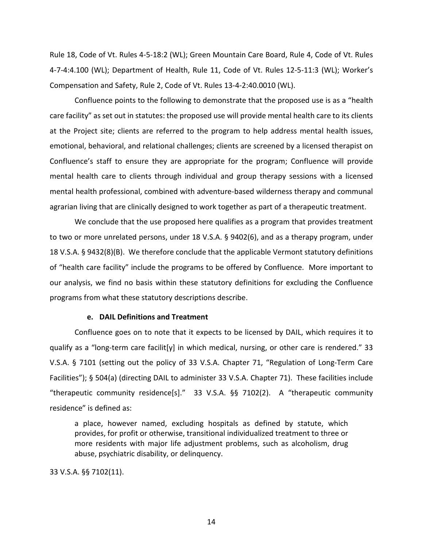Rule 18, Code of Vt. Rules 4-5-18:2 (WL); Green Mountain Care Board, Rule 4, Code of Vt. Rules 4-7-4:4.100 (WL); Department of Health, Rule 11, Code of Vt. Rules 12-5-11:3 (WL); Worker's Compensation and Safety, Rule 2, Code of Vt. Rules 13-4-2:40.0010 (WL).

Confluence points to the following to demonstrate that the proposed use is as a "health care facility" as set out in statutes: the proposed use will provide mental health care to its clients at the Project site; clients are referred to the program to help address mental health issues, emotional, behavioral, and relational challenges; clients are screened by a licensed therapist on Confluence's staff to ensure they are appropriate for the program; Confluence will provide mental health care to clients through individual and group therapy sessions with a licensed mental health professional, combined with adventure-based wilderness therapy and communal agrarian living that are clinically designed to work together as part of a therapeutic treatment.

We conclude that the use proposed here qualifies as a program that provides treatment to two or more unrelated persons, under 18 V.S.A. § 9402(6), and as a therapy program, under 18 V.S.A. § 9432(8)(B). We therefore conclude that the applicable Vermont statutory definitions of "health care facility" include the programs to be offered by Confluence. More important to our analysis, we find no basis within these statutory definitions for excluding the Confluence programs from what these statutory descriptions describe.

### **e. DAIL Definitions and Treatment**

Confluence goes on to note that it expects to be licensed by DAIL, which requires it to qualify as a "long-term care facilit [y] in which medical, nursing, or other care is rendered." 33 V.S.A. § 7101 (setting out the policy of 33 V.S.A. Chapter 71, "Regulation of Long-Term Care Facilities"); § 504(a) (directing DAIL to administer 33 V.S.A. Chapter 71). These facilities include "therapeutic community residence[s]." 33 V.S.A. §§ 7102(2). A "therapeutic community residence" is defined as:

a place, however named, excluding hospitals as defined by statute, which provides, for profit or otherwise, transitional individualized treatment to three or more residents with major life adjustment problems, such as alcoholism, drug abuse, psychiatric disability, or delinquency.

33 V.S.A. §§ 7102(11).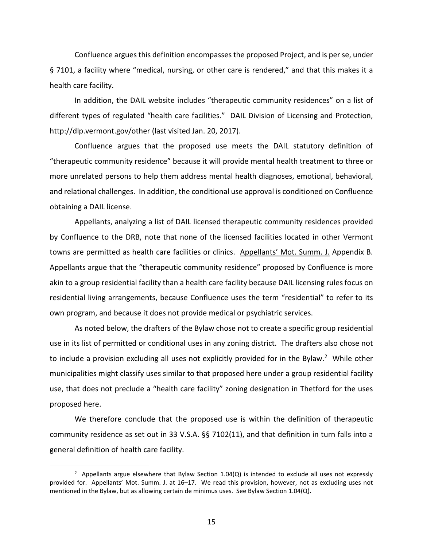Confluence argues this definition encompasses the proposed Project, and is per se, under § 7101, a facility where "medical, nursing, or other care is rendered," and that this makes it a health care facility.

In addition, the DAIL website includes "therapeutic community residences" on a list of different types of regulated "health care facilities." DAIL Division of Licensing and Protection, http://dlp.vermont.gov/other (last visited Jan. 20, 2017).

Confluence argues that the proposed use meets the DAIL statutory definition of "therapeutic community residence" because it will provide mental health treatment to three or more unrelated persons to help them address mental health diagnoses, emotional, behavioral, and relational challenges. In addition, the conditional use approval is conditioned on Confluence obtaining a DAIL license.

Appellants, analyzing a list of DAIL licensed therapeutic community residences provided by Confluence to the DRB, note that none of the licensed facilities located in other Vermont towns are permitted as health care facilities or clinics. Appellants' Mot. Summ. J. Appendix B. Appellants argue that the "therapeutic community residence" proposed by Confluence is more akin to a group residential facility than a health care facility because DAIL licensing rules focus on residential living arrangements, because Confluence uses the term "residential" to refer to its own program, and because it does not provide medical or psychiatric services.

As noted below, the drafters of the Bylaw chose not to create a specific group residential use in its list of permitted or conditional uses in any zoning district. The drafters also chose not to include a provision excluding all uses not explicitly provided for in the Bylaw.<sup>2</sup> While other municipalities might classify uses similar to that proposed here under a group residential facility use, that does not preclude a "health care facility" zoning designation in Thetford for the uses proposed here.

We therefore conclude that the proposed use is within the definition of therapeutic community residence as set out in 33 V.S.A. §§ 7102(11), and that definition in turn falls into a general definition of health care facility.

<sup>&</sup>lt;sup>2</sup> Appellants argue elsewhere that Bylaw Section 1.04(Q) is intended to exclude all uses not expressly provided for. Appellants' Mot. Summ. J. at 16–17. We read this provision, however, not as excluding uses not mentioned in the Bylaw, but as allowing certain de minimus uses. See Bylaw Section 1.04(Q).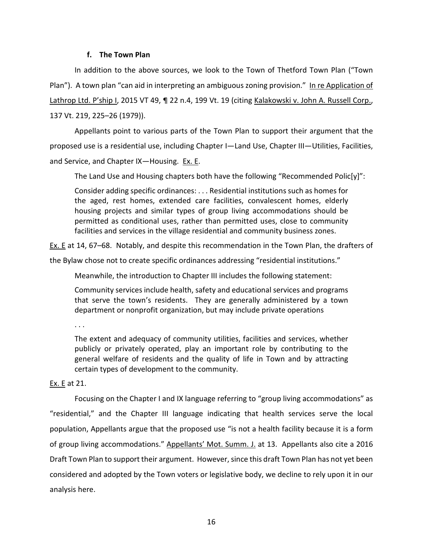# **f. The Town Plan**

In addition to the above sources, we look to the Town of Thetford Town Plan ("Town Plan"). A town plan "can aid in interpreting an ambiguous zoning provision." In re Application of Lathrop Ltd. P'ship I, 2015 VT 49, ¶ 22 n.4, 199 Vt. 19 (citing Kalakowski v. John A. Russell Corp., 137 Vt. 219, 225–26 (1979)).

Appellants point to various parts of the Town Plan to support their argument that the proposed use is a residential use, including Chapter I—Land Use, Chapter III—Utilities, Facilities, and Service, and Chapter IX—Housing. Ex. E.

The Land Use and Housing chapters both have the following "Recommended Polic[y]":

Consider adding specific ordinances: . . . Residential institutions such as homes for the aged, rest homes, extended care facilities, convalescent homes, elderly housing projects and similar types of group living accommodations should be permitted as conditional uses, rather than permitted uses, close to community facilities and services in the village residential and community business zones.

Ex. E at 14, 67–68. Notably, and despite this recommendation in the Town Plan, the drafters of

the Bylaw chose not to create specific ordinances addressing "residential institutions."

Meanwhile, the introduction to Chapter III includes the following statement:

Community services include health, safety and educational services and programs that serve the town's residents. They are generally administered by a town department or nonprofit organization, but may include private operations

. . .

The extent and adequacy of community utilities, facilities and services, whether publicly or privately operated, play an important role by contributing to the general welfare of residents and the quality of life in Town and by attracting certain types of development to the community.

# Ex. E at 21.

Focusing on the Chapter I and IX language referring to "group living accommodations" as "residential," and the Chapter III language indicating that health services serve the local population, Appellants argue that the proposed use "is not a health facility because it is a form of group living accommodations." Appellants' Mot. Summ. J. at 13. Appellants also cite a 2016 Draft Town Plan to support their argument. However, since this draft Town Plan has not yet been considered and adopted by the Town voters or legislative body, we decline to rely upon it in our analysis here.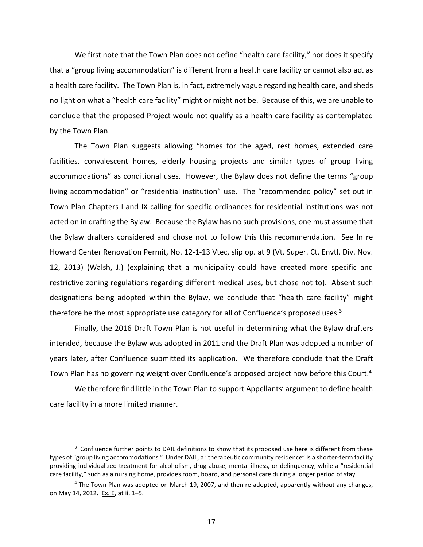We first note that the Town Plan does not define "health care facility," nor does it specify that a "group living accommodation" is different from a health care facility or cannot also act as a health care facility. The Town Plan is, in fact, extremely vague regarding health care, and sheds no light on what a "health care facility" might or might not be. Because of this, we are unable to conclude that the proposed Project would not qualify as a health care facility as contemplated by the Town Plan.

The Town Plan suggests allowing "homes for the aged, rest homes, extended care facilities, convalescent homes, elderly housing projects and similar types of group living accommodations" as conditional uses. However, the Bylaw does not define the terms "group living accommodation" or "residential institution" use. The "recommended policy" set out in Town Plan Chapters I and IX calling for specific ordinances for residential institutions was not acted on in drafting the Bylaw. Because the Bylaw has no such provisions, one must assume that the Bylaw drafters considered and chose not to follow this this recommendation. See In re Howard Center Renovation Permit, No. 12-1-13 Vtec, slip op. at 9 (Vt. Super. Ct. Envtl. Div. Nov. 12, 2013) (Walsh, J.) (explaining that a municipality could have created more specific and restrictive zoning regulations regarding different medical uses, but chose not to). Absent such designations being adopted within the Bylaw, we conclude that "health care facility" might therefore be the most appropriate use category for all of Confluence's proposed uses. $3$ 

Finally, the 2016 Draft Town Plan is not useful in determining what the Bylaw drafters intended, because the Bylaw was adopted in 2011 and the Draft Plan was adopted a number of years later, after Confluence submitted its application. We therefore conclude that the Draft Town Plan has no governing weight over Confluence's proposed project now before this Court.<sup>4</sup>

We therefore find little in the Town Plan to support Appellants' argument to define health care facility in a more limited manner.

j

<sup>&</sup>lt;sup>3</sup> Confluence further points to DAIL definitions to show that its proposed use here is different from these types of "group living accommodations." Under DAIL, a "therapeutic community residence" is a shorter-term facility providing individualized treatment for alcoholism, drug abuse, mental illness, or delinquency, while a "residential care facility," such as a nursing home, provides room, board, and personal care during a longer period of stay.

<sup>&</sup>lt;sup>4</sup> The Town Plan was adopted on March 19, 2007, and then re-adopted, apparently without any changes, on May 14, 2012. Ex. E, at ii, 1–5.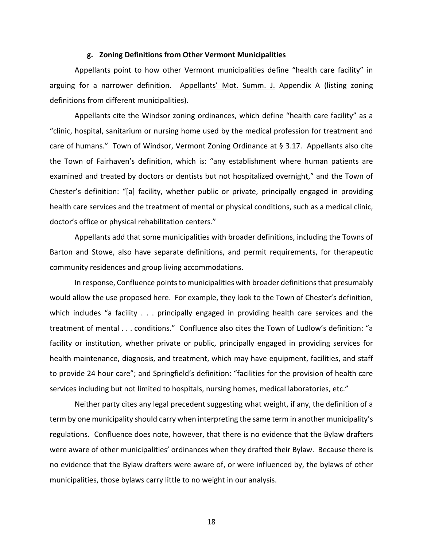#### **g. Zoning Definitions from Other Vermont Municipalities**

Appellants point to how other Vermont municipalities define "health care facility" in arguing for a narrower definition. Appellants' Mot. Summ. J. Appendix A (listing zoning definitions from different municipalities).

Appellants cite the Windsor zoning ordinances, which define "health care facility" as a "clinic, hospital, sanitarium or nursing home used by the medical profession for treatment and care of humans." Town of Windsor, Vermont Zoning Ordinance at § 3.17. Appellants also cite the Town of Fairhaven's definition, which is: "any establishment where human patients are examined and treated by doctors or dentists but not hospitalized overnight," and the Town of Chester's definition: "[a] facility, whether public or private, principally engaged in providing health care services and the treatment of mental or physical conditions, such as a medical clinic, doctor's office or physical rehabilitation centers."

Appellants add that some municipalities with broader definitions, including the Towns of Barton and Stowe, also have separate definitions, and permit requirements, for therapeutic community residences and group living accommodations.

In response, Confluence points to municipalities with broader definitions that presumably would allow the use proposed here. For example, they look to the Town of Chester's definition, which includes "a facility . . . principally engaged in providing health care services and the treatment of mental . . . conditions." Confluence also cites the Town of Ludlow's definition: "a facility or institution, whether private or public, principally engaged in providing services for health maintenance, diagnosis, and treatment, which may have equipment, facilities, and staff to provide 24 hour care"; and Springfield's definition: "facilities for the provision of health care services including but not limited to hospitals, nursing homes, medical laboratories, etc."

Neither party cites any legal precedent suggesting what weight, if any, the definition of a term by one municipality should carry when interpreting the same term in another municipality's regulations. Confluence does note, however, that there is no evidence that the Bylaw drafters were aware of other municipalities' ordinances when they drafted their Bylaw. Because there is no evidence that the Bylaw drafters were aware of, or were influenced by, the bylaws of other municipalities, those bylaws carry little to no weight in our analysis.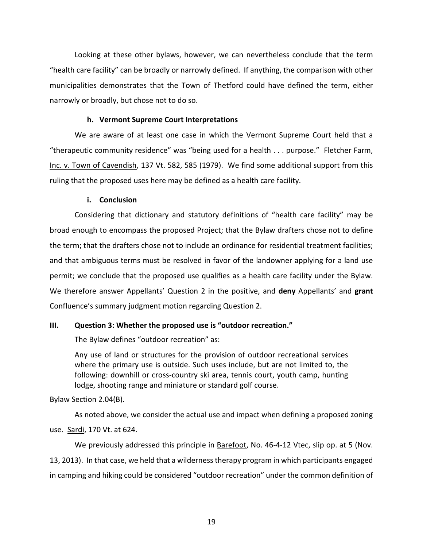Looking at these other bylaws, however, we can nevertheless conclude that the term "health care facility" can be broadly or narrowly defined. If anything, the comparison with other municipalities demonstrates that the Town of Thetford could have defined the term, either narrowly or broadly, but chose not to do so.

### **h. Vermont Supreme Court Interpretations**

We are aware of at least one case in which the Vermont Supreme Court held that a "therapeutic community residence" was "being used for a health . . . purpose." Fletcher Farm, Inc. v. Town of Cavendish, 137 Vt. 582, 585 (1979). We find some additional support from this ruling that the proposed uses here may be defined as a health care facility.

### **i. Conclusion**

Considering that dictionary and statutory definitions of "health care facility" may be broad enough to encompass the proposed Project; that the Bylaw drafters chose not to define the term; that the drafters chose not to include an ordinance for residential treatment facilities; and that ambiguous terms must be resolved in favor of the landowner applying for a land use permit; we conclude that the proposed use qualifies as a health care facility under the Bylaw. We therefore answer Appellants' Question 2 in the positive, and **deny** Appellants' and **grant** Confluence's summary judgment motion regarding Question 2.

### **III. Question 3: Whether the proposed use is "outdoor recreation."**

The Bylaw defines "outdoor recreation" as:

Any use of land or structures for the provision of outdoor recreational services where the primary use is outside. Such uses include, but are not limited to, the following: downhill or cross-country ski area, tennis court, youth camp, hunting lodge, shooting range and miniature or standard golf course.

Bylaw Section 2.04(B).

As noted above, we consider the actual use and impact when defining a proposed zoning use. Sardi, 170 Vt. at 624.

We previously addressed this principle in Barefoot, No. 46-4-12 Vtec, slip op. at 5 (Nov. 13, 2013). In that case, we held that a wilderness therapy program in which participants engaged in camping and hiking could be considered "outdoor recreation" under the common definition of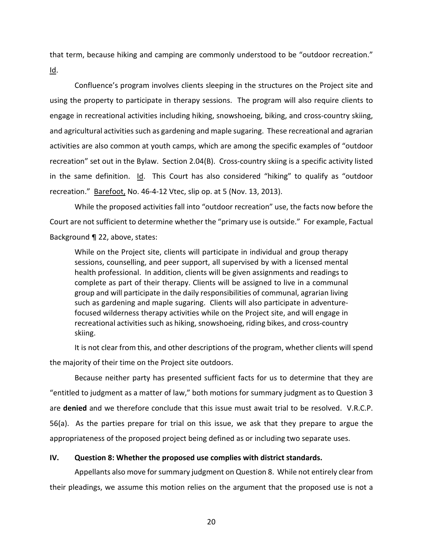that term, because hiking and camping are commonly understood to be "outdoor recreation." Id.

Confluence's program involves clients sleeping in the structures on the Project site and using the property to participate in therapy sessions. The program will also require clients to engage in recreational activities including hiking, snowshoeing, biking, and cross-country skiing, and agricultural activities such as gardening and maple sugaring. These recreational and agrarian activities are also common at youth camps, which are among the specific examples of "outdoor recreation" set out in the Bylaw. Section 2.04(B). Cross-country skiing is a specific activity listed in the same definition. Id. This Court has also considered "hiking" to qualify as "outdoor recreation." Barefoot, No. 46-4-12 Vtec, slip op. at 5 (Nov. 13, 2013).

While the proposed activities fall into "outdoor recreation" use, the facts now before the Court are not sufficient to determine whether the "primary use is outside." For example, Factual Background ¶ 22, above, states:

While on the Project site, clients will participate in individual and group therapy sessions, counselling, and peer support, all supervised by with a licensed mental health professional. In addition, clients will be given assignments and readings to complete as part of their therapy. Clients will be assigned to live in a communal group and will participate in the daily responsibilities of communal, agrarian living such as gardening and maple sugaring. Clients will also participate in adventurefocused wilderness therapy activities while on the Project site, and will engage in recreational activities such as hiking, snowshoeing, riding bikes, and cross-country skiing.

It is not clear from this, and other descriptions of the program, whether clients will spend the majority of their time on the Project site outdoors.

Because neither party has presented sufficient facts for us to determine that they are "entitled to judgment as a matter of law," both motions for summary judgment as to Question 3 are **denied** and we therefore conclude that this issue must await trial to be resolved. V.R.C.P. 56(a). As the parties prepare for trial on this issue, we ask that they prepare to argue the appropriateness of the proposed project being defined as or including two separate uses.

### **IV. Question 8: Whether the proposed use complies with district standards.**

Appellants also move for summary judgment on Question 8. While not entirely clear from their pleadings, we assume this motion relies on the argument that the proposed use is not a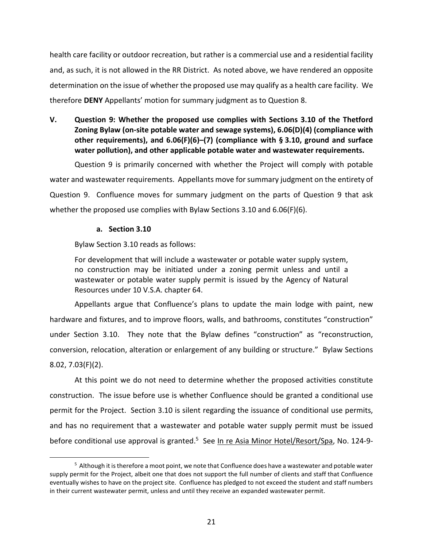health care facility or outdoor recreation, but rather is a commercial use and a residential facility and, as such, it is not allowed in the RR District. As noted above, we have rendered an opposite determination on the issue of whether the proposed use may qualify as a health care facility. We therefore **DENY** Appellants' motion for summary judgment as to Question 8.

**V. Question 9: Whether the proposed use complies with Sections 3.10 of the Thetford Zoning Bylaw (on-site potable water and sewage systems), 6.06(D)(4) (compliance with other requirements), and 6.06(F)(6)–(7) (compliance with § 3.10, ground and surface water pollution), and other applicable potable water and wastewater requirements.** 

Question 9 is primarily concerned with whether the Project will comply with potable water and wastewater requirements. Appellants move for summary judgment on the entirety of Question 9. Confluence moves for summary judgment on the parts of Question 9 that ask whether the proposed use complies with Bylaw Sections 3.10 and 6.06(F)(6).

# **a. Section 3.10**

.

Bylaw Section 3.10 reads as follows:

For development that will include a wastewater or potable water supply system, no construction may be initiated under a zoning permit unless and until a wastewater or potable water supply permit is issued by the Agency of Natural Resources under 10 V.S.A. chapter 64.

Appellants argue that Confluence's plans to update the main lodge with paint, new hardware and fixtures, and to improve floors, walls, and bathrooms, constitutes "construction" under Section 3.10. They note that the Bylaw defines "construction" as "reconstruction, conversion, relocation, alteration or enlargement of any building or structure." Bylaw Sections 8.02, 7.03(F)(2).

At this point we do not need to determine whether the proposed activities constitute construction. The issue before use is whether Confluence should be granted a conditional use permit for the Project. Section 3.10 is silent regarding the issuance of conditional use permits, and has no requirement that a wastewater and potable water supply permit must be issued before conditional use approval is granted.<sup>5</sup> See In re Asia Minor Hotel/Resort/Spa, No. 124-9-

<sup>&</sup>lt;sup>5</sup> Although it is therefore a moot point, we note that Confluence does have a wastewater and potable water supply permit for the Project, albeit one that does not support the full number of clients and staff that Confluence eventually wishes to have on the project site. Confluence has pledged to not exceed the student and staff numbers in their current wastewater permit, unless and until they receive an expanded wastewater permit.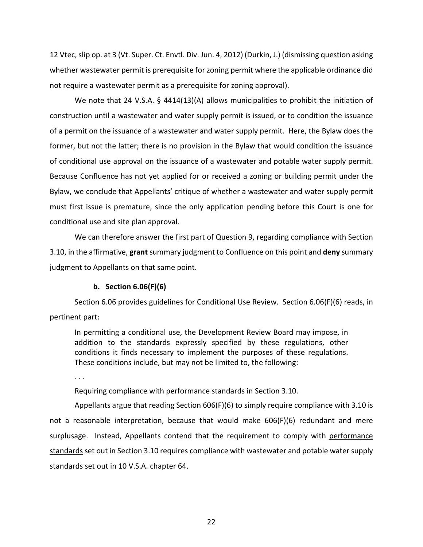12 Vtec, slip op. at 3 (Vt. Super. Ct. Envtl. Div. Jun. 4, 2012) (Durkin, J.) (dismissing question asking whether wastewater permit is prerequisite for zoning permit where the applicable ordinance did not require a wastewater permit as a prerequisite for zoning approval).

We note that 24 V.S.A. § 4414(13)(A) allows municipalities to prohibit the initiation of construction until a wastewater and water supply permit is issued, or to condition the issuance of a permit on the issuance of a wastewater and water supply permit. Here, the Bylaw does the former, but not the latter; there is no provision in the Bylaw that would condition the issuance of conditional use approval on the issuance of a wastewater and potable water supply permit. Because Confluence has not yet applied for or received a zoning or building permit under the Bylaw, we conclude that Appellants' critique of whether a wastewater and water supply permit must first issue is premature, since the only application pending before this Court is one for conditional use and site plan approval.

We can therefore answer the first part of Question 9, regarding compliance with Section 3.10, in the affirmative, **grant** summary judgment to Confluence on this point and **deny** summary judgment to Appellants on that same point.

### **b. Section 6.06(F)(6)**

Section 6.06 provides guidelines for Conditional Use Review. Section 6.06(F)(6) reads, in pertinent part:

In permitting a conditional use, the Development Review Board may impose, in addition to the standards expressly specified by these regulations, other conditions it finds necessary to implement the purposes of these regulations. These conditions include, but may not be limited to, the following:

. . .

Requiring compliance with performance standards in Section 3.10.

Appellants argue that reading Section 606(F)(6) to simply require compliance with 3.10 is not a reasonable interpretation, because that would make 606(F)(6) redundant and mere surplusage. Instead, Appellants contend that the requirement to comply with performance standards set out in Section 3.10 requires compliance with wastewater and potable water supply standards set out in 10 V.S.A. chapter 64.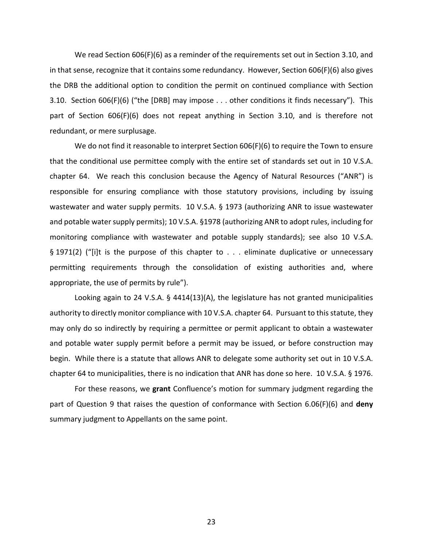We read Section 606(F)(6) as a reminder of the requirements set out in Section 3.10, and in that sense, recognize that it contains some redundancy. However, Section 606(F)(6) also gives the DRB the additional option to condition the permit on continued compliance with Section 3.10. Section 606(F)(6) ("the [DRB] may impose . . . other conditions it finds necessary"). This part of Section 606(F)(6) does not repeat anything in Section 3.10, and is therefore not redundant, or mere surplusage.

We do not find it reasonable to interpret Section 606(F)(6) to require the Town to ensure that the conditional use permittee comply with the entire set of standards set out in 10 V.S.A. chapter 64. We reach this conclusion because the Agency of Natural Resources ("ANR") is responsible for ensuring compliance with those statutory provisions, including by issuing wastewater and water supply permits. 10 V.S.A. § 1973 (authorizing ANR to issue wastewater and potable water supply permits); 10 V.S.A. §1978 (authorizing ANR to adopt rules, including for monitoring compliance with wastewater and potable supply standards); see also 10 V.S.A. § 1971(2) ("[i]t is the purpose of this chapter to . . . eliminate duplicative or unnecessary permitting requirements through the consolidation of existing authorities and, where appropriate, the use of permits by rule").

Looking again to 24 V.S.A. § 4414(13)(A), the legislature has not granted municipalities authority to directly monitor compliance with 10 V.S.A. chapter 64. Pursuant to this statute, they may only do so indirectly by requiring a permittee or permit applicant to obtain a wastewater and potable water supply permit before a permit may be issued, or before construction may begin. While there is a statute that allows ANR to delegate some authority set out in 10 V.S.A. chapter 64 to municipalities, there is no indication that ANR has done so here. 10 V.S.A. § 1976.

For these reasons, we **grant** Confluence's motion for summary judgment regarding the part of Question 9 that raises the question of conformance with Section 6.06(F)(6) and **deny** summary judgment to Appellants on the same point.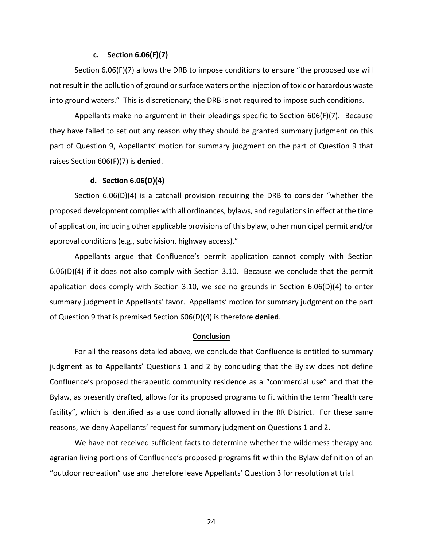#### **c. Section 6.06(F)(7)**

Section 6.06(F)(7) allows the DRB to impose conditions to ensure "the proposed use will not result in the pollution of ground or surface waters or the injection of toxic or hazardous waste into ground waters." This is discretionary; the DRB is not required to impose such conditions.

Appellants make no argument in their pleadings specific to Section 606(F)(7). Because they have failed to set out any reason why they should be granted summary judgment on this part of Question 9, Appellants' motion for summary judgment on the part of Question 9 that raises Section 606(F)(7) is **denied**.

#### **d. Section 6.06(D)(4)**

Section 6.06(D)(4) is a catchall provision requiring the DRB to consider "whether the proposed development complies with all ordinances, bylaws, and regulations in effect at the time of application, including other applicable provisions of this bylaw, other municipal permit and/or approval conditions (e.g., subdivision, highway access)."

Appellants argue that Confluence's permit application cannot comply with Section 6.06(D)(4) if it does not also comply with Section 3.10. Because we conclude that the permit application does comply with Section 3.10, we see no grounds in Section 6.06(D)(4) to enter summary judgment in Appellants' favor. Appellants' motion for summary judgment on the part of Question 9 that is premised Section 606(D)(4) is therefore **denied**.

#### **Conclusion**

For all the reasons detailed above, we conclude that Confluence is entitled to summary judgment as to Appellants' Questions 1 and 2 by concluding that the Bylaw does not define Confluence's proposed therapeutic community residence as a "commercial use" and that the Bylaw, as presently drafted, allows for its proposed programs to fit within the term "health care facility", which is identified as a use conditionally allowed in the RR District. For these same reasons, we deny Appellants' request for summary judgment on Questions 1 and 2.

We have not received sufficient facts to determine whether the wilderness therapy and agrarian living portions of Confluence's proposed programs fit within the Bylaw definition of an "outdoor recreation" use and therefore leave Appellants' Question 3 for resolution at trial.